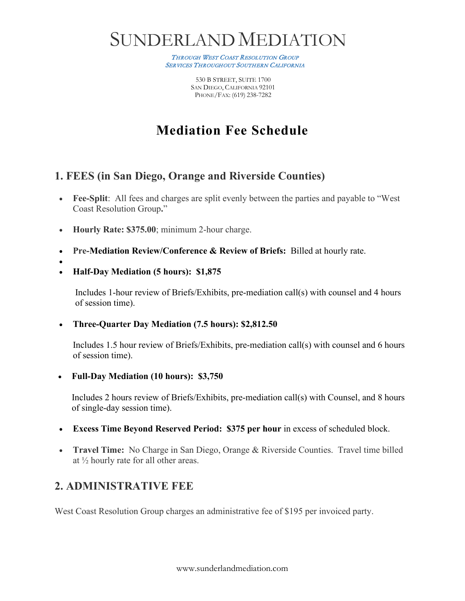# SUNDERLAND MEDIATION

THROUGH WEST COAST RESOLUTION GROUP SERVICES THROUGHOUT SOUTHERN CALIFORNIA

> 530 B STREET, SUITE 1700 SAN DIEGO, CALIFORNIA 92101 PHONE/FAX: (619) 238-7282

## **Mediation Fee Schedule**

#### **1. FEES (in San Diego, Orange and Riverside Counties)**

- **Fee-Split**: All fees and charges are split evenly between the parties and payable to "West" Coast Resolution Group**.**"
- **Hourly Rate: \$375.00**; minimum 2-hour charge.
- **Pre-Mediation Review/Conference & Review of Briefs:** Billed at hourly rate.
- •
- **Half-Day Mediation (5 hours): \$1,875**

Includes 1-hour review of Briefs/Exhibits, pre-mediation call(s) with counsel and 4 hours of session time).

#### • **Three-Quarter Day Mediation (7.5 hours): \$2,812.50**

Includes 1.5 hour review of Briefs/Exhibits, pre-mediation call(s) with counsel and 6 hours of session time).

• **Full-Day Mediation (10 hours): \$3,750** 

Includes 2 hours review of Briefs/Exhibits, pre-mediation call(s) with Counsel, and 8 hours of single-day session time).

- **Excess Time Beyond Reserved Period: \$375 per hour** in excess of scheduled block.
- **Travel Time:** No Charge in San Diego, Orange & Riverside Counties. Travel time billed at ½ hourly rate for all other areas.

### **2. ADMINISTRATIVE FEE**

West Coast Resolution Group charges an administrative fee of \$195 per invoiced party.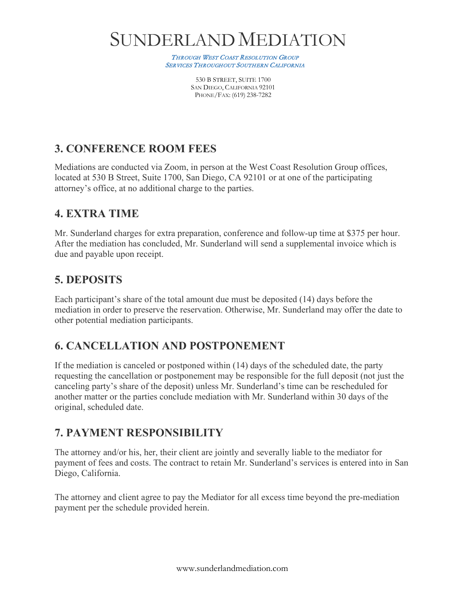# SUNDERLAND MEDIATION

THROUGH WEST COAST RESOLUTION GROUP **SERVICES THROUGHOUT SOUTHERN CALIFORNIA** 

> 530 B STREET, SUITE 1700 SAN DIEGO, CALIFORNIA 92101 PHONE/FAX: (619) 238-7282

### **3. CONFERENCE ROOM FEES**

Mediations are conducted via Zoom, in person at the West Coast Resolution Group offices, located at 530 B Street, Suite 1700, San Diego, CA 92101 or at one of the participating attorney's office, at no additional charge to the parties.

#### **4. EXTRA TIME**

Mr. Sunderland charges for extra preparation, conference and follow-up time at \$375 per hour. After the mediation has concluded, Mr. Sunderland will send a supplemental invoice which is due and payable upon receipt.

#### **5. DEPOSITS**

Each participant's share of the total amount due must be deposited (14) days before the mediation in order to preserve the reservation. Otherwise, Mr. Sunderland may offer the date to other potential mediation participants.

### **6. CANCELLATION AND POSTPONEMENT**

If the mediation is canceled or postponed within (14) days of the scheduled date, the party requesting the cancellation or postponement may be responsible for the full deposit (not just the canceling party's share of the deposit) unless Mr. Sunderland's time can be rescheduled for another matter or the parties conclude mediation with Mr. Sunderland within 30 days of the original, scheduled date.

### **7. PAYMENT RESPONSIBILITY**

The attorney and/or his, her, their client are jointly and severally liable to the mediator for payment of fees and costs. The contract to retain Mr. Sunderland's services is entered into in San Diego, California.

The attorney and client agree to pay the Mediator for all excess time beyond the pre-mediation payment per the schedule provided herein.